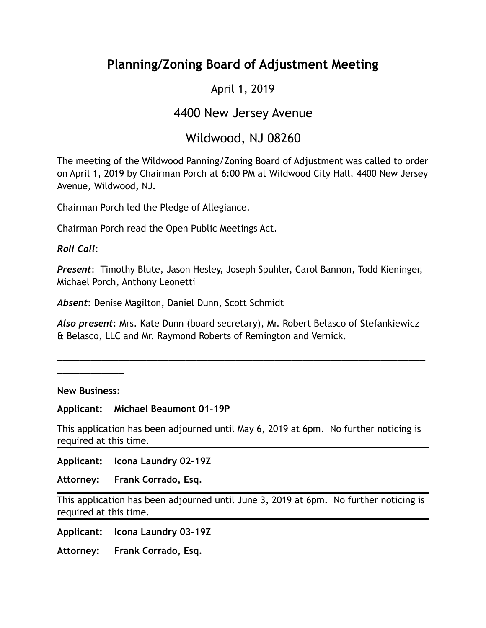# **Planning/Zoning Board of Adjustment Meeting**

April 1, 2019

### 4400 New Jersey Avenue

## Wildwood, NJ 08260

The meeting of the Wildwood Panning/Zoning Board of Adjustment was called to order on April 1, 2019 by Chairman Porch at 6:00 PM at Wildwood City Hall, 4400 New Jersey Avenue, Wildwood, NJ.

Chairman Porch led the Pledge of Allegiance.

Chairman Porch read the Open Public Meetings Act.

*Roll Call*:

*Present*: Timothy Blute, Jason Hesley, Joseph Spuhler, Carol Bannon, Todd Kieninger, Michael Porch, Anthony Leonetti

*Absent*: Denise Magilton, Daniel Dunn, Scott Schmidt

*Also present*: Mrs. Kate Dunn (board secretary), Mr. Robert Belasco of Stefankiewicz & Belasco, LLC and Mr. Raymond Roberts of Remington and Vernick.

**\_\_\_\_\_\_\_\_\_\_\_\_\_\_\_\_\_\_\_\_\_\_\_\_\_\_\_\_\_\_\_\_\_\_\_\_\_\_\_\_\_\_\_\_\_\_\_\_\_\_\_\_\_\_\_\_\_\_\_\_\_\_\_\_\_\_**

**New Business:** 

**\_\_\_\_\_\_\_\_\_\_\_\_** 

**Applicant: Michael Beaumont 01-19P** 

This application has been adjourned until May 6, 2019 at 6pm. No further noticing is required at this time.

**Applicant: Icona Laundry 02-19Z** 

**Attorney: Frank Corrado, Esq.** 

This application has been adjourned until June 3, 2019 at 6pm. No further noticing is required at this time.

**Applicant: Icona Laundry 03-19Z** 

**Attorney: Frank Corrado, Esq.**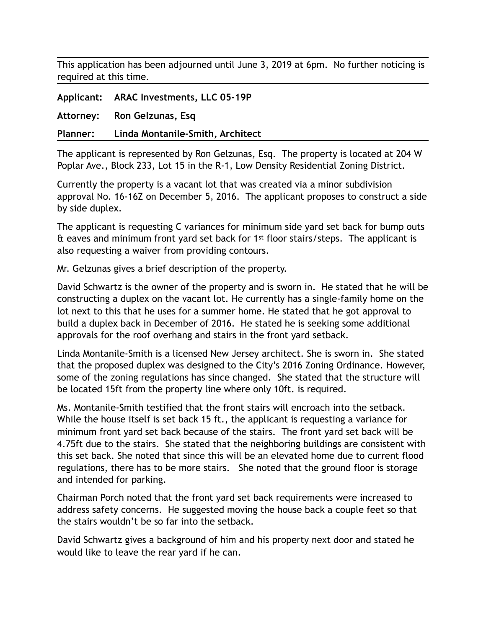This application has been adjourned until June 3, 2019 at 6pm. No further noticing is required at this time.

| Applicant: ARAC Investments, LLC 05-19P   |
|-------------------------------------------|
| Attorney: Ron Gelzunas, Esq               |
| Planner: Linda Montanile-Smith, Architect |

The applicant is represented by Ron Gelzunas, Esq. The property is located at 204 W Poplar Ave., Block 233, Lot 15 in the R-1, Low Density Residential Zoning District.

Currently the property is a vacant lot that was created via a minor subdivision approval No. 16-16Z on December 5, 2016. The applicant proposes to construct a side by side duplex.

The applicant is requesting C variances for minimum side yard set back for bump outs & eaves and minimum front yard set back for 1st floor stairs/steps. The applicant is also requesting a waiver from providing contours.

Mr. Gelzunas gives a brief description of the property.

David Schwartz is the owner of the property and is sworn in. He stated that he will be constructing a duplex on the vacant lot. He currently has a single-family home on the lot next to this that he uses for a summer home. He stated that he got approval to build a duplex back in December of 2016. He stated he is seeking some additional approvals for the roof overhang and stairs in the front yard setback.

Linda Montanile-Smith is a licensed New Jersey architect. She is sworn in. She stated that the proposed duplex was designed to the City's 2016 Zoning Ordinance. However, some of the zoning regulations has since changed. She stated that the structure will be located 15ft from the property line where only 10ft. is required.

Ms. Montanile-Smith testified that the front stairs will encroach into the setback. While the house itself is set back 15 ft., the applicant is requesting a variance for minimum front yard set back because of the stairs. The front yard set back will be 4.75ft due to the stairs. She stated that the neighboring buildings are consistent with this set back. She noted that since this will be an elevated home due to current flood regulations, there has to be more stairs. She noted that the ground floor is storage and intended for parking.

Chairman Porch noted that the front yard set back requirements were increased to address safety concerns. He suggested moving the house back a couple feet so that the stairs wouldn't be so far into the setback.

David Schwartz gives a background of him and his property next door and stated he would like to leave the rear yard if he can.